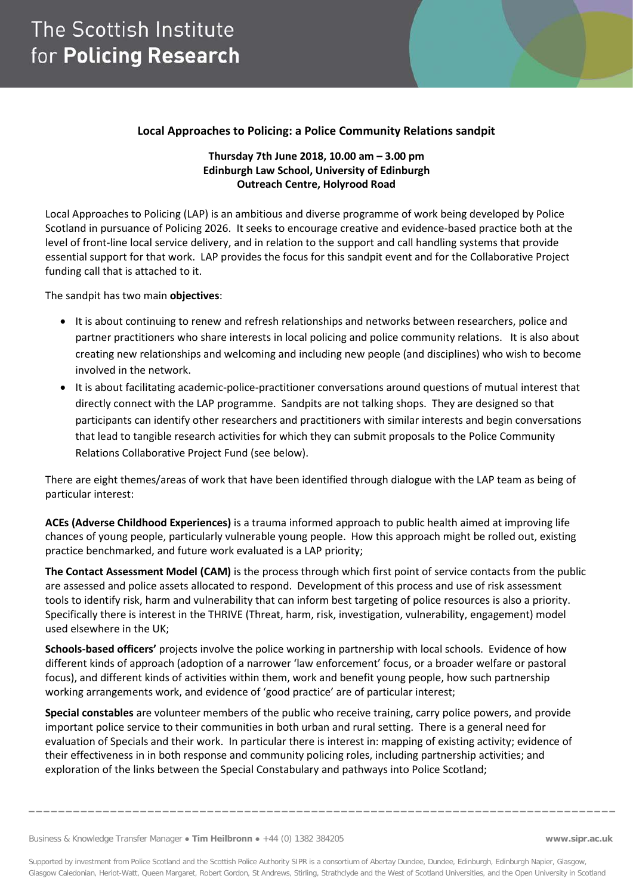### **Local Approaches to Policing: a Police Community Relations sandpit**

#### **Thursday 7th June 2018, 10.00 am – 3.00 pm Edinburgh Law School, University of Edinburgh Outreach Centre, Holyrood Road**

Local Approaches to Policing (LAP) is an ambitious and diverse programme of work being developed by Police Scotland in pursuance of Policing 2026. It seeks to encourage creative and evidence-based practice both at the level of front-line local service delivery, and in relation to the support and call handling systems that provide essential support for that work. LAP provides the focus for this sandpit event and for the Collaborative Project funding call that is attached to it.

The sandpit has two main **objectives**:

- It is about continuing to renew and refresh relationships and networks between researchers, police and partner practitioners who share interests in local policing and police community relations. It is also about creating new relationships and welcoming and including new people (and disciplines) who wish to become involved in the network.
- It is about facilitating academic-police-practitioner conversations around questions of mutual interest that directly connect with the LAP programme. Sandpits are not talking shops. They are designed so that participants can identify other researchers and practitioners with similar interests and begin conversations that lead to tangible research activities for which they can submit proposals to the Police Community Relations Collaborative Project Fund (see below).

There are eight themes/areas of work that have been identified through dialogue with the LAP team as being of particular interest:

**ACEs (Adverse Childhood Experiences)** is a trauma informed approach to public health aimed at improving life chances of young people, particularly vulnerable young people. How this approach might be rolled out, existing practice benchmarked, and future work evaluated is a LAP priority;

**The Contact Assessment Model (CAM)** is the process through which first point of service contacts from the public are assessed and police assets allocated to respond. Development of this process and use of risk assessment tools to identify risk, harm and vulnerability that can inform best targeting of police resources is also a priority. Specifically there is interest in the THRIVE (Threat, harm, risk, investigation, vulnerability, engagement) model used elsewhere in the UK;

**Schools-based officers'** projects involve the police working in partnership with local schools. Evidence of how different kinds of approach (adoption of a narrower 'law enforcement' focus, or a broader welfare or pastoral focus), and different kinds of activities within them, work and benefit young people, how such partnership working arrangements work, and evidence of 'good practice' are of particular interest;

**Special constables** are volunteer members of the public who receive training, carry police powers, and provide important police service to their communities in both urban and rural setting. There is a general need for evaluation of Specials and their work. In particular there is interest in: mapping of existing activity; evidence of their effectiveness in in both response and community policing roles, including partnership activities; and exploration of the links between the Special Constabulary and pathways into Police Scotland;

Supported by investment from Police Scotland and the Scottish Police Authority SIPR is a consortium of Abertay Dundee, Dundee, Edinburgh, Edinburgh Napier, Glasgow, Glasgow Caledonian, Heriot-Watt, Queen Margaret, Robert Gordon, St Andrews, Stirling, Strathclyde and the West of Scotland Universities, and the Open University in Scotland

**\_\_\_\_\_\_\_\_\_\_\_\_\_\_\_\_\_\_\_\_\_\_\_\_\_\_\_\_\_\_\_\_\_\_\_\_\_\_\_\_\_\_\_\_\_\_\_\_\_\_\_\_\_\_\_\_\_\_\_\_\_\_\_\_\_\_\_\_\_\_\_\_\_\_\_\_\_\_\_**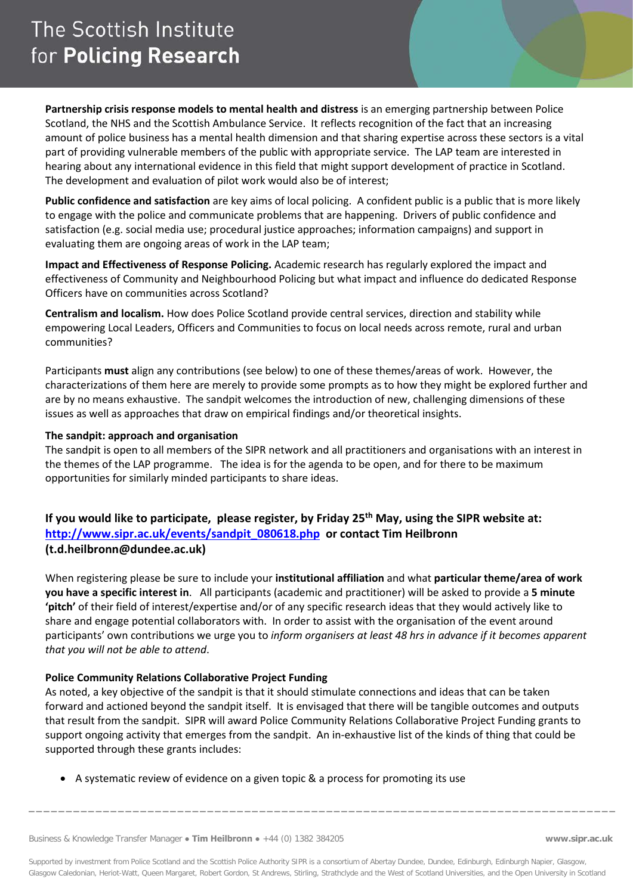# The Scottish Institute for Policing Research

**Partnership crisis response models to mental health and distress** is an emerging partnership between Police Scotland, the NHS and the Scottish Ambulance Service. It reflects recognition of the fact that an increasing amount of police business has a mental health dimension and that sharing expertise across these sectors is a vital part of providing vulnerable members of the public with appropriate service. The LAP team are interested in hearing about any international evidence in this field that might support development of practice in Scotland. The development and evaluation of pilot work would also be of interest;

**Public confidence and satisfaction** are key aims of local policing. A confident public is a public that is more likely to engage with the police and communicate problems that are happening. Drivers of public confidence and satisfaction (e.g. social media use; procedural justice approaches; information campaigns) and support in evaluating them are ongoing areas of work in the LAP team;

**Impact and Effectiveness of Response Policing.** Academic research has regularly explored the impact and effectiveness of Community and Neighbourhood Policing but what impact and influence do dedicated Response Officers have on communities across Scotland?

**Centralism and localism.** How does Police Scotland provide central services, direction and stability while empowering Local Leaders, Officers and Communities to focus on local needs across remote, rural and urban communities?

Participants **must** align any contributions (see below) to one of these themes/areas of work. However, the characterizations of them here are merely to provide some prompts as to how they might be explored further and are by no means exhaustive. The sandpit welcomes the introduction of new, challenging dimensions of these issues as well as approaches that draw on empirical findings and/or theoretical insights.

#### **The sandpit: approach and organisation**

The sandpit is open to all members of the SIPR network and all practitioners and organisations with an interest in the themes of the LAP programme. The idea is for the agenda to be open, and for there to be maximum opportunities for similarly minded participants to share ideas.

### **If you would like to participate, please register, by Friday 25th May, using the SIPR website at: [http://www.sipr.ac.uk/events/sandpit\\_080618.php](http://www.sipr.ac.uk/events/sandpit_080618.php) or contact Tim Heilbronn (t.d.heilbronn@dundee.ac.uk)**

When registering please be sure to include your **institutional affiliation** and what **particular theme/area of work you have a specific interest in**. All participants (academic and practitioner) will be asked to provide a **5 minute 'pitch'** of their field of interest/expertise and/or of any specific research ideas that they would actively like to share and engage potential collaborators with. In order to assist with the organisation of the event around participants' own contributions we urge you to *inform organisers at least 48 hrs in advance if it becomes apparent that you will not be able to attend*.

#### **Police Community Relations Collaborative Project Funding**

As noted, a key objective of the sandpit is that it should stimulate connections and ideas that can be taken forward and actioned beyond the sandpit itself. It is envisaged that there will be tangible outcomes and outputs that result from the sandpit. SIPR will award Police Community Relations Collaborative Project Funding grants to support ongoing activity that emerges from the sandpit. An in-exhaustive list of the kinds of thing that could be supported through these grants includes:

• A systematic review of evidence on a given topic & a process for promoting its use

Supported by investment from Police Scotland and the Scottish Police Authority SIPR is a consortium of Abertay Dundee, Dundee, Edinburgh, Edinburgh Napier, Glasgow, Glasgow Caledonian, Heriot-Watt, Queen Margaret, Robert Gordon, St Andrews, Stirling, Strathclyde and the West of Scotland Universities, and the Open University in Scotland

**\_\_\_\_\_\_\_\_\_\_\_\_\_\_\_\_\_\_\_\_\_\_\_\_\_\_\_\_\_\_\_\_\_\_\_\_\_\_\_\_\_\_\_\_\_\_\_\_\_\_\_\_\_\_\_\_\_\_\_\_\_\_\_\_\_\_\_\_\_\_\_\_\_\_\_\_\_\_\_**